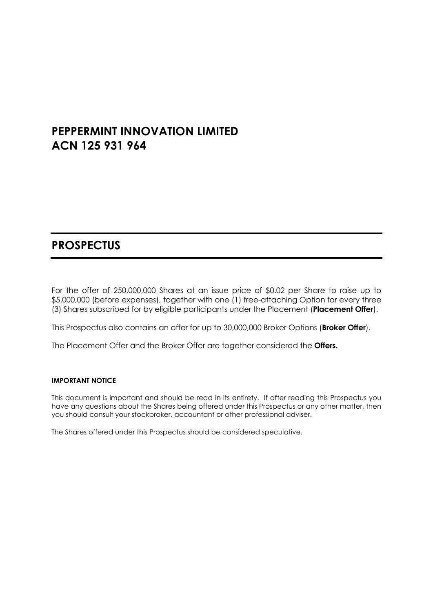# **PEPPERMINT INNOVATION LIMITED ACN 125 931 964**

# **PROSPECTUS**

For the offer of 250,000,000 Shares at an issue price of \$0.02 per Share to raise up to \$5,000,000 (before expenses), together with one (1) free-attaching Option for every three (3) Shares subscribed for by eligible participants under the Placement (**Placement Offer**).

This Prospectus also contains an offer for up to 30,000,000 Broker Options (**Broker Offer**).

The Placement Offer and the Broker Offer are together considered the **Offers.**

#### **IMPORTANT NOTICE**

This document is important and should be read in its entirety. If after reading this Prospectus you have any questions about the Shares being offered under this Prospectus or any other matter, then you should consult your stockbroker, accountant or other professional adviser.

The Shares offered under this Prospectus should be considered speculative.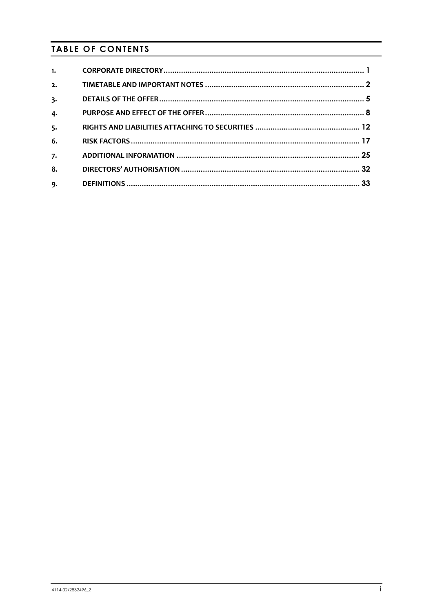# **TABLE OF CONTENTS**

| 1. |  |
|----|--|
| 2. |  |
| 3. |  |
| 4. |  |
| 5. |  |
| 6. |  |
| 7. |  |
| 8. |  |
| 9. |  |
|    |  |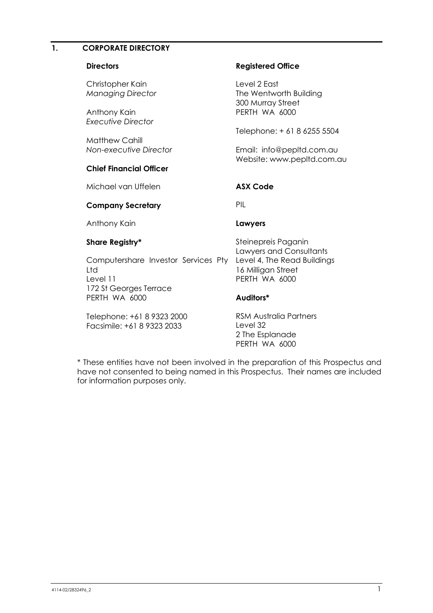## <span id="page-2-0"></span>**1. CORPORATE DIRECTORY**

| <b>Directors</b>                                         | <b>Registered Office</b>                                                      |
|----------------------------------------------------------|-------------------------------------------------------------------------------|
| Christopher Kain<br><b>Managing Director</b>             | Level 2 East<br>The Wentworth Building<br>300 Murray Street                   |
| Anthony Kain<br>Executive Director                       | PERTH WA 6000                                                                 |
| <b>Matthew Cahill</b>                                    | Telephone: + 61 8 6255 5504                                                   |
| Non-executive Director                                   | Email: info@pepItd.com.au<br>Website: www.pepltd.com.au                       |
| <b>Chief Financial Officer</b>                           |                                                                               |
| Michael van Uffelen                                      | <b>ASX Code</b>                                                               |
| <b>Company Secretary</b>                                 | PIL                                                                           |
| Anthony Kain                                             | Lawyers                                                                       |
| Share Registry*                                          | Steinepreis Paganin<br>Lawyers and Consultants                                |
| Computershare Investor Services Pty<br>Ltd<br>Level 11   | Level 4, The Read Buildings<br>16 Milligan Street<br>PERTH WA 6000            |
| 172 St Georges Terrace<br>PERTH WA 6000                  | Auditors*                                                                     |
| Telephone: +61 8 9323 2000<br>Facsimile: +61 8 9323 2033 | <b>RSM Australia Partners</b><br>Level 32<br>2 The Esplanade<br>PERTH WA 6000 |

\* These entities have not been involved in the preparation of this Prospectus and have not consented to being named in this Prospectus. Their names are included for information purposes only.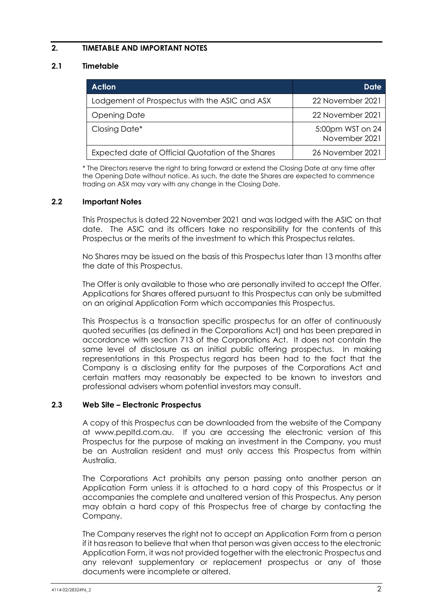## <span id="page-3-0"></span>**2. TIMETABLE AND IMPORTANT NOTES**

## <span id="page-3-1"></span>**2.1 Timetable**

| <b>Action</b>                                     | Date                              |
|---------------------------------------------------|-----------------------------------|
| Lodgement of Prospectus with the ASIC and ASX     | 22 November 2021                  |
| <b>Opening Date</b>                               | 22 November 2021                  |
| Closing Date*                                     | 5:00pm WST on 24<br>November 2021 |
| Expected date of Official Quotation of the Shares | 26 November 2021                  |

\* The Directors reserve the right to bring forward or extend the Closing Date at any time after the Opening Date without notice. As such, the date the Shares are expected to commence trading on ASX may vary with any change in the Closing Date.

#### **2.2 Important Notes**

This Prospectus is dated 22 November 2021 and was lodged with the ASIC on that date. The ASIC and its officers take no responsibility for the contents of this Prospectus or the merits of the investment to which this Prospectus relates.

No Shares may be issued on the basis of this Prospectus later than 13 months after the date of this Prospectus.

The Offer is only available to those who are personally invited to accept the Offer. Applications for Shares offered pursuant to this Prospectus can only be submitted on an original Application Form which accompanies this Prospectus.

This Prospectus is a transaction specific prospectus for an offer of continuously quoted securities (as defined in the Corporations Act) and has been prepared in accordance with section 713 of the Corporations Act. It does not contain the same level of disclosure as an initial public offering prospectus. In making representations in this Prospectus regard has been had to the fact that the Company is a disclosing entity for the purposes of the Corporations Act and certain matters may reasonably be expected to be known to investors and professional advisers whom potential investors may consult.

#### **2.3 Web Site – Electronic Prospectus**

A copy of this Prospectus can be downloaded from the website of the Company at www.pepltd.com.au. If you are accessing the electronic version of this Prospectus for the purpose of making an investment in the Company, you must be an Australian resident and must only access this Prospectus from within Australia.

The Corporations Act prohibits any person passing onto another person an Application Form unless it is attached to a hard copy of this Prospectus or it accompanies the complete and unaltered version of this Prospectus. Any person may obtain a hard copy of this Prospectus free of charge by contacting the Company.

The Company reserves the right not to accept an Application Form from a person if it has reason to believe that when that person was given access to the electronic Application Form, it was not provided together with the electronic Prospectus and any relevant supplementary or replacement prospectus or any of those documents were incomplete or altered.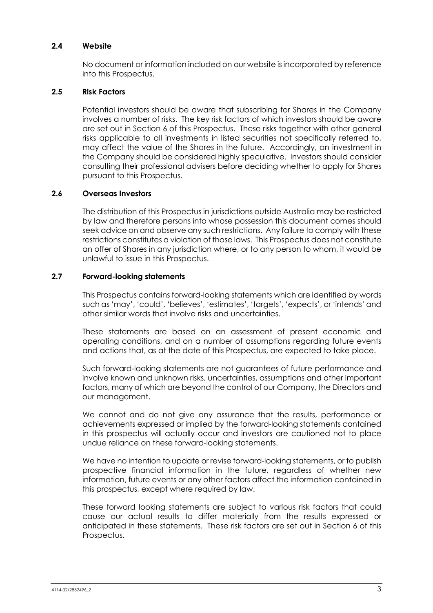#### **2.4 Website**

No document or information included on our website is incorporated by reference into this Prospectus.

#### **2.5 Risk Factors**

Potential investors should be aware that subscribing for Shares in the Company involves a number of risks. The key risk factors of which investors should be aware are set out in Section [6](#page-18-0) of this Prospectus. These risks together with other general risks applicable to all investments in listed securities not specifically referred to, may affect the value of the Shares in the future. Accordingly, an investment in the Company should be considered highly speculative. Investors should consider consulting their professional advisers before deciding whether to apply for Shares pursuant to this Prospectus.

#### **2.6 Overseas Investors**

The distribution of this Prospectus in jurisdictions outside Australia may be restricted by law and therefore persons into whose possession this document comes should seek advice on and observe any such restrictions. Any failure to comply with these restrictions constitutes a violation of those laws. This Prospectus does not constitute an offer of Shares in any jurisdiction where, or to any person to whom, it would be unlawful to issue in this Prospectus.

#### **2.7 Forward-looking statements**

This Prospectus contains forward-looking statements which are identified by words such as 'may', 'could', 'believes', 'estimates', 'targets', 'expects', or 'intends' and other similar words that involve risks and uncertainties.

These statements are based on an assessment of present economic and operating conditions, and on a number of assumptions regarding future events and actions that, as at the date of this Prospectus, are expected to take place.

Such forward-looking statements are not guarantees of future performance and involve known and unknown risks, uncertainties, assumptions and other important factors, many of which are beyond the control of our Company, the Directors and our management.

We cannot and do not give any assurance that the results, performance or achievements expressed or implied by the forward-looking statements contained in this prospectus will actually occur and investors are cautioned not to place undue reliance on these forward-looking statements.

We have no intention to update or revise forward-looking statements, or to publish prospective financial information in the future, regardless of whether new information, future events or any other factors affect the information contained in this prospectus, except where required by law.

These forward looking statements are subject to various risk factors that could cause our actual results to differ materially from the results expressed or anticipated in these statements. These risk factors are set out in Section 6 of this Prospectus.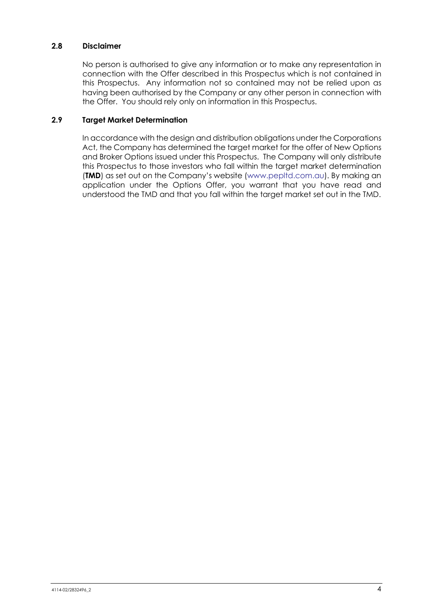#### **2.8 Disclaimer**

No person is authorised to give any information or to make any representation in connection with the Offer described in this Prospectus which is not contained in this Prospectus. Any information not so contained may not be relied upon as having been authorised by the Company or any other person in connection with the Offer. You should rely only on information in this Prospectus.

## **2.9 Target Market Determination**

In accordance with the design and distribution obligations under the Corporations Act, the Company has determined the target market for the offer of New Options and Broker Options issued under this Prospectus. The Company will only distribute this Prospectus to those investors who fall within the target market determination (**TMD**) as set out on the Company's website [\(www.pepltd.com.au\)](http://www.pepltd.com.au/). By making an application under the Options Offer, you warrant that you have read and understood the TMD and that you fall within the target market set out in the TMD.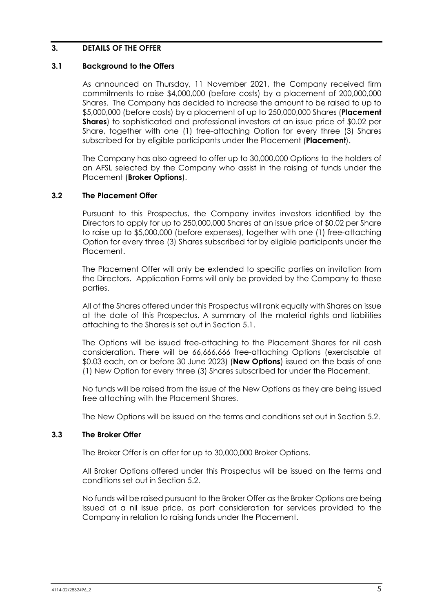#### <span id="page-6-0"></span>**3. DETAILS OF THE OFFER**

#### <span id="page-6-1"></span>**3.1 Background to the Offers**

As announced on Thursday, 11 November 2021, the Company received firm commitments to raise \$4,000,000 (before costs) by a placement of 200,000,000 Shares. The Company has decided to increase the amount to be raised to up to \$5,000,000 (before costs) by a placement of up to 250,000,000 Shares (**Placement Shares**) to sophisticated and professional investors at an issue price of \$0.02 per Share, together with one (1) free-attaching Option for every three (3) Shares subscribed for by eligible participants under the Placement (**Placement**).

The Company has also agreed to offer up to 30,000,000 Options to the holders of an AFSL selected by the Company who assist in the raising of funds under the Placement (**Broker Options**).

#### **3.2 The Placement Offer**

Pursuant to this Prospectus, the Company invites investors identified by the Directors to apply for up to 250,000,000 Shares at an issue price of \$0.02 per Share to raise up to \$5,000,000 (before expenses), together with one (1) free-attaching Option for every three (3) Shares subscribed for by eligible participants under the Placement.

The Placement Offer will only be extended to specific parties on invitation from the Directors. Application Forms will only be provided by the Company to these parties.

All of the Shares offered under this Prospectus will rank equally with Shares on issue at the date of this Prospectus. A summary of the material rights and liabilities attaching to the Shares is set out in Section 5.1.

The Options will be issued free-attaching to the Placement Shares for nil cash consideration. There will be 66,666,666 free-attaching Options (exercisable at \$0.03 each, on or before 30 June 2023) (**New Options**) issued on the basis of one (1) New Option for every three (3) Shares subscribed for under the Placement.

No funds will be raised from the issue of the New Options as they are being issued free attaching with the Placement Shares.

The New Options will be issued on the terms and conditions set out in Section 5.2.

#### **3.3 The Broker Offer**

The Broker Offer is an offer for up to 30,000,000 Broker Options.

All Broker Options offered under this Prospectus will be issued on the terms and conditions set out in Section 5.2.

No funds will be raised pursuant to the Broker Offer as the Broker Options are being issued at a nil issue price, as part consideration for services provided to the Company in relation to raising funds under the Placement.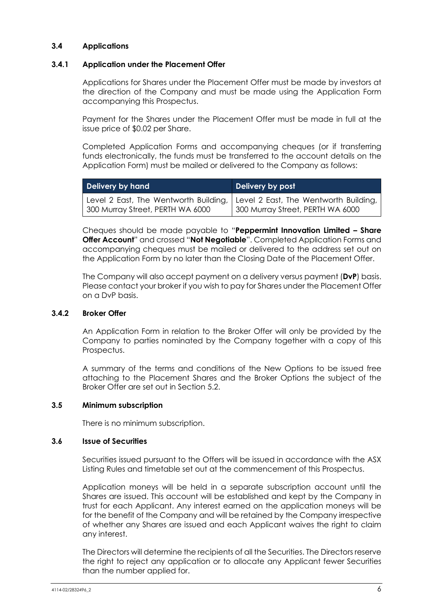#### **3.4 Applications**

#### **3.4.1 Application under the Placement Offer**

Applications for Shares under the Placement Offer must be made by investors at the direction of the Company and must be made using the Application Form accompanying this Prospectus.

Payment for the Shares under the Placement Offer must be made in full at the issue price of \$0.02 per Share.

Completed Application Forms and accompanying cheques (or if transferring funds electronically, the funds must be transferred to the account details on the Application Form) must be mailed or delivered to the Company as follows:

| Delivery by hand                                                                                                | Delivery by post                 |
|-----------------------------------------------------------------------------------------------------------------|----------------------------------|
| Level 2 East, The Wentworth Building, Level 2 East, The Wentworth Building,<br>300 Murray Street, PERTH WA 6000 | 300 Murray Street, PERTH WA 6000 |

Cheques should be made payable to "**Peppermint Innovation Limited – Share Offer Account**" and crossed "**Not Negotiable**". Completed Application Forms and accompanying cheques must be mailed or delivered to the address set out on the Application Form by no later than the Closing Date of the Placement Offer.

The Company will also accept payment on a delivery versus payment (**DvP**) basis. Please contact your broker if you wish to pay for Shares under the Placement Offer on a DvP basis.

#### <span id="page-7-0"></span>**3.4.2 Broker Offer**

An Application Form in relation to the Broker Offer will only be provided by the Company to parties nominated by the Company together with a copy of this Prospectus.

A summary of the terms and conditions of the New Options to be issued free attaching to the Placement Shares and the Broker Options the subject of the Broker Offer are set out in Section [5.2.](#page-15-0)

#### **3.5 Minimum subscription**

There is no minimum subscription.

#### **3.6 Issue of Securities**

Securities issued pursuant to the Offers will be issued in accordance with the ASX Listing Rules and timetable set out at the commencement of this Prospectus.

Application moneys will be held in a separate subscription account until the Shares are issued. This account will be established and kept by the Company in trust for each Applicant. Any interest earned on the application moneys will be for the benefit of the Company and will be retained by the Company irrespective of whether any Shares are issued and each Applicant waives the right to claim any interest.

The Directors will determine the recipients of all the Securities. The Directors reserve the right to reject any application or to allocate any Applicant fewer Securities than the number applied for.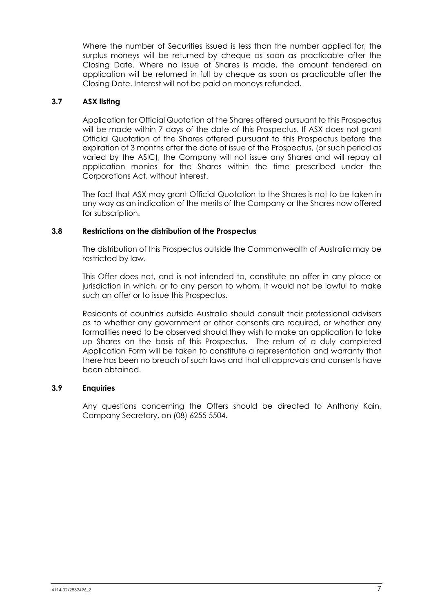Where the number of Securities issued is less than the number applied for, the surplus moneys will be returned by cheque as soon as practicable after the Closing Date. Where no issue of Shares is made, the amount tendered on application will be returned in full by cheque as soon as practicable after the Closing Date. Interest will not be paid on moneys refunded.

## **3.7 ASX listing**

Application for Official Quotation of the Shares offered pursuant to this Prospectus will be made within 7 days of the date of this Prospectus. If ASX does not grant Official Quotation of the Shares offered pursuant to this Prospectus before the expiration of 3 months after the date of issue of the Prospectus, (or such period as varied by the ASIC), the Company will not issue any Shares and will repay all application monies for the Shares within the time prescribed under the Corporations Act, without interest.

The fact that ASX may grant Official Quotation to the Shares is not to be taken in any way as an indication of the merits of the Company or the Shares now offered for subscription.

#### **3.8 Restrictions on the distribution of the Prospectus**

The distribution of this Prospectus outside the Commonwealth of Australia may be restricted by law.

This Offer does not, and is not intended to, constitute an offer in any place or jurisdiction in which, or to any person to whom, it would not be lawful to make such an offer or to issue this Prospectus.

Residents of countries outside Australia should consult their professional advisers as to whether any government or other consents are required, or whether any formalities need to be observed should they wish to make an application to take up Shares on the basis of this Prospectus. The return of a duly completed Application Form will be taken to constitute a representation and warranty that there has been no breach of such laws and that all approvals and consents have been obtained.

#### **3.9 Enquiries**

Any questions concerning the Offers should be directed to Anthony Kain, Company Secretary, on (08) 6255 5504.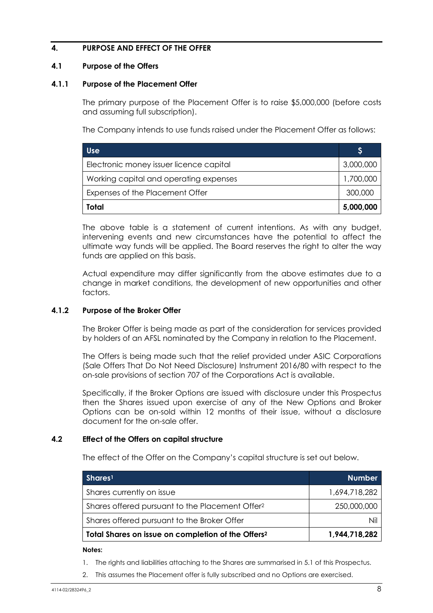## <span id="page-9-0"></span>**4. PURPOSE AND EFFECT OF THE OFFER**

#### **4.1 Purpose of the Offers**

#### **4.1.1 Purpose of the Placement Offer**

The primary purpose of the Placement Offer is to raise \$5,000,000 (before costs and assuming full subscription).

The Company intends to use funds raised under the Placement Offer as follows:

| Use                                     |           |
|-----------------------------------------|-----------|
| Electronic money issuer licence capital | 3,000,000 |
| Working capital and operating expenses  | 1,700,000 |
| Expenses of the Placement Offer         |           |
| Total                                   | 5,000,000 |

The above table is a statement of current intentions. As with any budget, intervening events and new circumstances have the potential to affect the ultimate way funds will be applied. The Board reserves the right to alter the way funds are applied on this basis.

Actual expenditure may differ significantly from the above estimates due to a change in market conditions, the development of new opportunities and other factors.

#### **4.1.2 Purpose of the Broker Offer**

The Broker Offer is being made as part of the consideration for services provided by holders of an AFSL nominated by the Company in relation to the Placement.

The Offers is being made such that the relief provided under ASIC Corporations (Sale Offers That Do Not Need Disclosure) Instrument 2016/80 with respect to the on-sale provisions of section 707 of the Corporations Act is available.

Specifically, if the Broker Options are issued with disclosure under this Prospectus then the Shares issued upon exercise of any of the New Options and Broker Options can be on-sold within 12 months of their issue, without a disclosure document for the on-sale offer.

#### **4.2 Effect of the Offers on capital structure**

The effect of the Offer on the Company's capital structure is set out below.

| Shares <sup>1</sup>                                            | <b>Number</b> |
|----------------------------------------------------------------|---------------|
| Shares currently on issue                                      | 1,694,718,282 |
| Shares offered pursuant to the Placement Offer <sup>2</sup>    | 250,000,000   |
| Shares offered pursuant to the Broker Offer                    |               |
| Total Shares on issue on completion of the Offers <sup>2</sup> | 1,944,718,282 |

**Notes:**

- 1. The rights and liabilities attaching to the Shares are summarised in [5.1](#page-13-1) of this Prospectus.
- 2. This assumes the Placement offer is fully subscribed and no Options are exercised.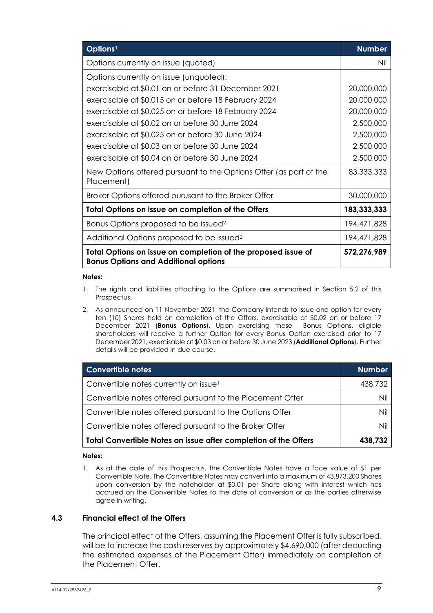| Options <sup>1</sup>                                                                                         | <b>Number</b> |
|--------------------------------------------------------------------------------------------------------------|---------------|
| Options currently on issue (quoted)                                                                          | Nil           |
| Options currently on issue (unquoted):                                                                       |               |
| exercisable at \$0.01 on or before 31 December 2021                                                          | 20,000,000    |
| exercisable at \$0.015 on or before 18 February 2024                                                         | 20,000,000    |
| exercisable at \$0.025 on or before 18 February 2024                                                         | 20,000,000    |
| exercisable at \$0.02 on or before 30 June 2024                                                              | 2,500,000     |
| exercisable at \$0.025 on or before 30 June 2024                                                             | 2,500,000     |
| exercisable at \$0.03 on or before 30 June 2024                                                              | 2,500,000     |
| exercisable at \$0.04 on or before 30 June 2024                                                              | 2,500,000     |
| New Options offered pursuant to the Options Offer (as part of the<br>Placement)                              | 83,333,333    |
| Broker Options offered purusant to the Broker Offer                                                          | 30,000,000    |
| Total Options on issue on completion of the Offers                                                           | 183,333,333   |
| Bonus Options proposed to be issued <sup>2</sup>                                                             | 194,471,828   |
| Additional Options proposed to be issued <sup>2</sup>                                                        | 194,471,828   |
| Total Options on issue on completion of the proposed issue of<br><b>Bonus Options and Additional options</b> | 572,276,989   |

#### **Notes:**

- 1. The rights and liabilities attaching to the Options are summarised in Section [5.2](#page-15-0) of this Prospectus.
- 2. As announced on 11 November 2021, the Company intends to issue one option for every ten (10) Shares held on completion of the Offers, exercisable at \$0.02 on or before 17 December 2021 (**Bonus Options**). Upon exercising these Bonus Options, eligible shareholders will receive a further Option for every Bonus Option exercised prior to 17 December 2021, exercisable at \$0.03 on or before 30 June 2023 (**Additional Options**). Further details will be provided in due course.

| Convertible notes                                               | <b>Number</b> |
|-----------------------------------------------------------------|---------------|
| Convertible notes currently on issue <sup>1</sup>               | 438,732       |
| Convertible notes offered pursuant to the Placement Offer       | Nil           |
| Convertible notes offered pursuant to the Options Offer         | Nil           |
| Convertible notes offered pursuant to the Broker Offer          | Nil           |
| Total Convertible Notes on issue after completion of the Offers | 438,732       |

#### **Notes:**

1. As at the date of this Prospectus, the Converitible Notes have a face value of \$1 per Convertible Note. The Convertible Notes may convert into a maximum of 43,873,200 Shares upon conversion by the noteholder at \$0.01 per Share along with interest which has accrued on the Convertible Notes to the date of conversion or as the parties otherwise agree in writing.

#### **4.3 Financial effect of the Offers**

The principal effect of the Offers, assuming the Placement Offer is fully subscribed, will be to increase the cash reserves by approximately \$4,690,000 (after deducting the estimated expenses of the Placement Offer) immediately on completion of the Placement Offer.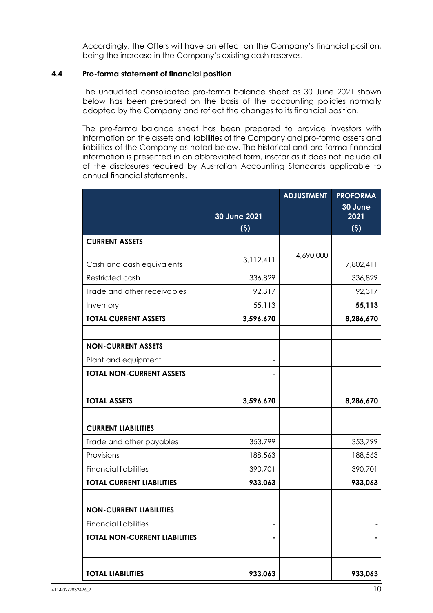Accordingly, the Offers will have an effect on the Company's financial position, being the increase in the Company's existing cash reserves.

#### **4.4 Pro-forma statement of financial position**

The unaudited consolidated pro-forma balance sheet as 30 June 2021 shown below has been prepared on the basis of the accounting policies normally adopted by the Company and reflect the changes to its financial position.

The pro-forma balance sheet has been prepared to provide investors with information on the assets and liabilities of the Company and pro-forma assets and liabilities of the Company as noted below. The historical and pro-forma financial information is presented in an abbreviated form, insofar as it does not include all of the disclosures required by Australian Accounting Standards applicable to annual financial statements.

|                                      |                     | <b>ADJUSTMENT</b> | <b>PROFORMA</b><br>30 June |
|--------------------------------------|---------------------|-------------------|----------------------------|
|                                      | 30 June 2021<br>(5) |                   | 2021<br>(5)                |
| <b>CURRENT ASSETS</b>                |                     |                   |                            |
| Cash and cash equivalents            | 3,112,411           | 4,690,000         | 7,802,411                  |
| Restricted cash                      | 336,829             |                   | 336,829                    |
| Trade and other receivables          | 92,317              |                   | 92,317                     |
| Inventory                            | 55,113              |                   | 55,113                     |
| <b>TOTAL CURRENT ASSETS</b>          | 3,596,670           |                   | 8,286,670                  |
| <b>NON-CURRENT ASSETS</b>            |                     |                   |                            |
| Plant and equipment                  |                     |                   |                            |
| <b>TOTAL NON-CURRENT ASSETS</b>      |                     |                   |                            |
| <b>TOTAL ASSETS</b>                  | 3,596,670           |                   | 8,286,670                  |
| <b>CURRENT LIABILITIES</b>           |                     |                   |                            |
| Trade and other payables             | 353,799             |                   | 353,799                    |
| Provisions                           | 188,563             |                   | 188,563                    |
| <b>Financial liabilities</b>         | 390,701             |                   | 390,701                    |
| <b>TOTAL CURRENT LIABILITIES</b>     | 933,063             |                   | 933,063                    |
| <b>NON-CURRENT LIABILITIES</b>       |                     |                   |                            |
| <b>Financial liabilities</b>         |                     |                   |                            |
| <b>TOTAL NON-CURRENT LIABILITIES</b> |                     |                   |                            |
| <b>TOTAL LIABILITIES</b>             | 933,063             |                   | 933,063                    |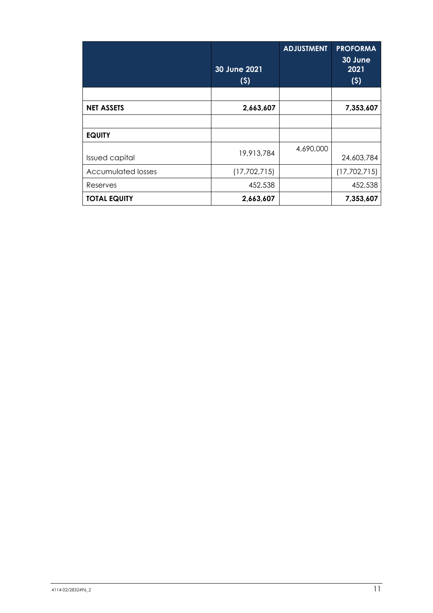|                           | 30 June 2021<br>(5) | <b>ADJUSTMENT</b> | <b>PROFORMA</b><br>30 June<br>2021<br>(5) |
|---------------------------|---------------------|-------------------|-------------------------------------------|
|                           |                     |                   |                                           |
| <b>NET ASSETS</b>         | 2,663,607           |                   | 7,353,607                                 |
|                           |                     |                   |                                           |
| <b>EQUITY</b>             |                     |                   |                                           |
| <b>Issued capital</b>     | 19,913,784          | 4,690,000         | 24,603,784                                |
| <b>Accumulated losses</b> | (17,702,715)        |                   | (17, 702, 715)                            |
| Reserves                  | 452,538             |                   | 452,538                                   |
| <b>TOTAL EQUITY</b>       | 2,663,607           |                   | 7,353,607                                 |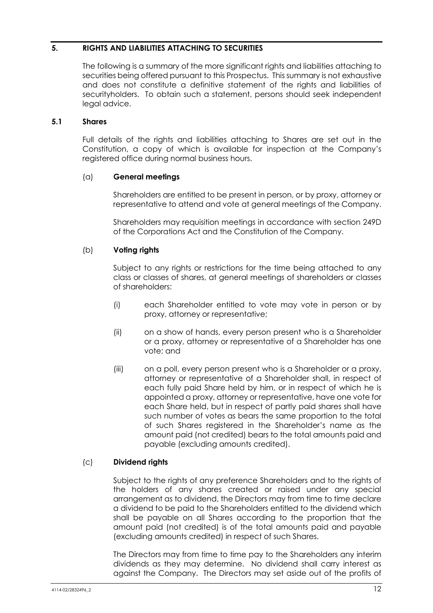## <span id="page-13-0"></span>**5. RIGHTS AND LIABILITIES ATTACHING TO SECURITIES**

The following is a summary of the more significant rights and liabilities attaching to securities being offered pursuant to this Prospectus. This summary is not exhaustive and does not constitute a definitive statement of the rights and liabilities of securityholders. To obtain such a statement, persons should seek independent legal advice.

#### <span id="page-13-1"></span>**5.1 Shares**

Full details of the rights and liabilities attaching to Shares are set out in the Constitution, a copy of which is available for inspection at the Company's registered office during normal business hours.

## (a) **General meetings**

Shareholders are entitled to be present in person, or by proxy, attorney or representative to attend and vote at general meetings of the Company.

Shareholders may requisition meetings in accordance with section 249D of the Corporations Act and the Constitution of the Company.

## (b) **Voting rights**

Subject to any rights or restrictions for the time being attached to any class or classes of shares, at general meetings of shareholders or classes of shareholders:

- (i) each Shareholder entitled to vote may vote in person or by proxy, attorney or representative;
- (ii) on a show of hands, every person present who is a Shareholder or a proxy, attorney or representative of a Shareholder has one vote; and
- (iii) on a poll, every person present who is a Shareholder or a proxy, attorney or representative of a Shareholder shall, in respect of each fully paid Share held by him, or in respect of which he is appointed a proxy, attorney or representative, have one vote for each Share held, but in respect of partly paid shares shall have such number of votes as bears the same proportion to the total of such Shares registered in the Shareholder's name as the amount paid (not credited) bears to the total amounts paid and payable (excluding amounts credited).

## (c) **Dividend rights**

Subject to the rights of any preference Shareholders and to the rights of the holders of any shares created or raised under any special arrangement as to dividend, the Directors may from time to time declare a dividend to be paid to the Shareholders entitled to the dividend which shall be payable on all Shares according to the proportion that the amount paid (not credited) is of the total amounts paid and payable (excluding amounts credited) in respect of such Shares.

The Directors may from time to time pay to the Shareholders any interim dividends as they may determine. No dividend shall carry interest as against the Company. The Directors may set aside out of the profits of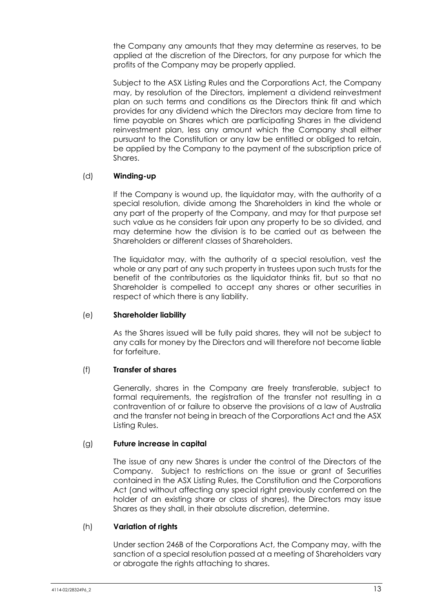the Company any amounts that they may determine as reserves, to be applied at the discretion of the Directors, for any purpose for which the profits of the Company may be properly applied.

Subject to the ASX Listing Rules and the Corporations Act, the Company may, by resolution of the Directors, implement a dividend reinvestment plan on such terms and conditions as the Directors think fit and which provides for any dividend which the Directors may declare from time to time payable on Shares which are participating Shares in the dividend reinvestment plan, less any amount which the Company shall either pursuant to the Constitution or any law be entitled or obliged to retain, be applied by the Company to the payment of the subscription price of Shares.

#### (d) **Winding-up**

If the Company is wound up, the liquidator may, with the authority of a special resolution, divide among the Shareholders in kind the whole or any part of the property of the Company, and may for that purpose set such value as he considers fair upon any property to be so divided, and may determine how the division is to be carried out as between the Shareholders or different classes of Shareholders.

The liquidator may, with the authority of a special resolution, vest the whole or any part of any such property in trustees upon such trusts for the benefit of the contributories as the liquidator thinks fit, but so that no Shareholder is compelled to accept any shares or other securities in respect of which there is any liability.

#### (e) **Shareholder liability**

As the Shares issued will be fully paid shares, they will not be subject to any calls for money by the Directors and will therefore not become liable for forfeiture.

#### (f) **Transfer of shares**

Generally, shares in the Company are freely transferable, subject to formal requirements, the registration of the transfer not resulting in a contravention of or failure to observe the provisions of a law of Australia and the transfer not being in breach of the Corporations Act and the ASX Listing Rules.

#### (g) **Future increase in capital**

The issue of any new Shares is under the control of the Directors of the Company. Subject to restrictions on the issue or grant of Securities contained in the ASX Listing Rules, the Constitution and the Corporations Act (and without affecting any special right previously conferred on the holder of an existing share or class of shares), the Directors may issue Shares as they shall, in their absolute discretion, determine.

#### (h) **Variation of rights**

Under section 246B of the Corporations Act, the Company may, with the sanction of a special resolution passed at a meeting of Shareholders vary or abrogate the rights attaching to shares.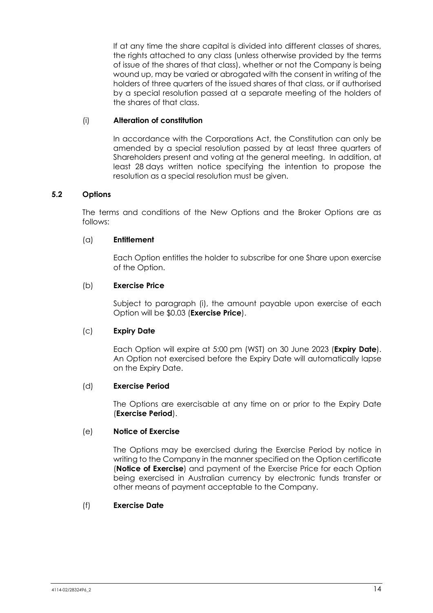If at any time the share capital is divided into different classes of shares, the rights attached to any class (unless otherwise provided by the terms of issue of the shares of that class), whether or not the Company is being wound up, may be varied or abrogated with the consent in writing of the holders of three quarters of the issued shares of that class, or if authorised by a special resolution passed at a separate meeting of the holders of the shares of that class.

## (i) **Alteration of constitution**

In accordance with the Corporations Act, the Constitution can only be amended by a special resolution passed by at least three quarters of Shareholders present and voting at the general meeting. In addition, at least 28 days written notice specifying the intention to propose the resolution as a special resolution must be given.

## <span id="page-15-0"></span>**5.2 Options**

The terms and conditions of the New Options and the Broker Options are as follows:

#### (a) **Entitlement**

Each Option entitles the holder to subscribe for one Share upon exercise of the Option.

#### (b) **Exercise Price**

Subject to paragraph [\(i\),](#page-16-0) the amount payable upon exercise of each Option will be \$0.03 (**Exercise Price**).

#### (c) **Expiry Date**

Each Option will expire at 5:00 pm (WST) on 30 June 2023 (**Expiry Date**). An Option not exercised before the Expiry Date will automatically lapse on the Expiry Date.

#### (d) **Exercise Period**

The Options are exercisable at any time on or prior to the Expiry Date (**Exercise Period**).

#### (e) **Notice of Exercise**

The Options may be exercised during the Exercise Period by notice in writing to the Company in the manner specified on the Option certificate (**Notice of Exercise**) and payment of the Exercise Price for each Option being exercised in Australian currency by electronic funds transfer or other means of payment acceptable to the Company.

#### (f) **Exercise Date**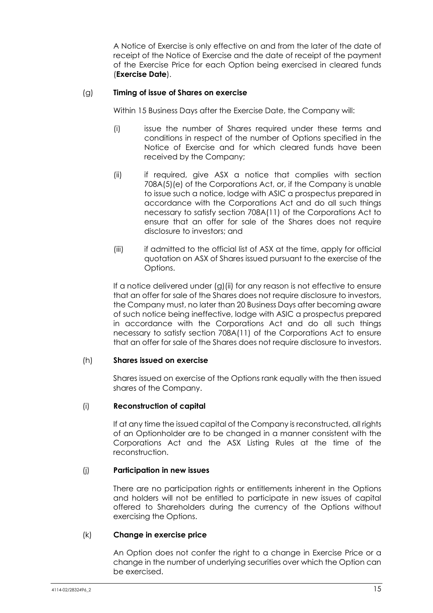A Notice of Exercise is only effective on and from the later of the date of receipt of the Notice of Exercise and the date of receipt of the payment of the Exercise Price for each Option being exercised in cleared funds (**Exercise Date**).

#### <span id="page-16-1"></span>(g) **Timing of issue of Shares on exercise**

Within 15 Business Days after the Exercise Date, the Company will:

- (i) issue the number of Shares required under these terms and conditions in respect of the number of Options specified in the Notice of Exercise and for which cleared funds have been received by the Company;
- <span id="page-16-2"></span>(ii) if required, give ASX a notice that complies with section 708A(5)(e) of the Corporations Act, or, if the Company is unable to issue such a notice, lodge with ASIC a prospectus prepared in accordance with the Corporations Act and do all such things necessary to satisfy section 708A(11) of the Corporations Act to ensure that an offer for sale of the Shares does not require disclosure to investors; and
- (iii) if admitted to the official list of ASX at the time, apply for official quotation on ASX of Shares issued pursuant to the exercise of the Options.

If a notice delivered under [\(g\)](#page-16-1)[\(ii\)](#page-16-2) for any reason is not effective to ensure that an offer for sale of the Shares does not require disclosure to investors, the Company must, no later than 20 Business Days after becoming aware of such notice being ineffective, lodge with ASIC a prospectus prepared in accordance with the Corporations Act and do all such things necessary to satisfy section 708A(11) of the Corporations Act to ensure that an offer for sale of the Shares does not require disclosure to investors.

#### (h) **Shares issued on exercise**

Shares issued on exercise of the Options rank equally with the then issued shares of the Company.

#### <span id="page-16-0"></span>(i) **Reconstruction of capital**

If at any time the issued capital of the Company is reconstructed, all rights of an Optionholder are to be changed in a manner consistent with the Corporations Act and the ASX Listing Rules at the time of the reconstruction.

#### (j) **Participation in new issues**

There are no participation rights or entitlements inherent in the Options and holders will not be entitled to participate in new issues of capital offered to Shareholders during the currency of the Options without exercising the Options.

#### (k) **Change in exercise price**

An Option does not confer the right to a change in Exercise Price or a change in the number of underlying securities over which the Option can be exercised.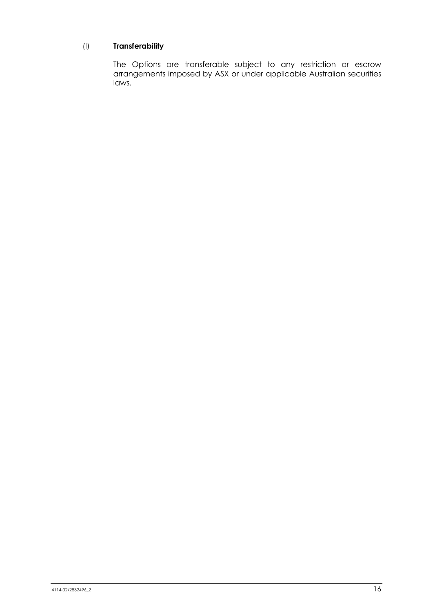## (l) **Transferability**

The Options are transferable subject to any restriction or escrow arrangements imposed by ASX or under applicable Australian securities laws.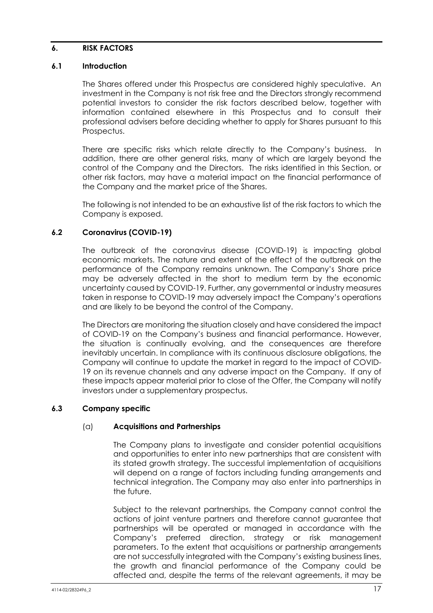#### <span id="page-18-0"></span>**6. RISK FACTORS**

#### **6.1 Introduction**

The Shares offered under this Prospectus are considered highly speculative. An investment in the Company is not risk free and the Directors strongly recommend potential investors to consider the risk factors described below, together with information contained elsewhere in this Prospectus and to consult their professional advisers before deciding whether to apply for Shares pursuant to this Prospectus.

There are specific risks which relate directly to the Company's business. In addition, there are other general risks, many of which are largely beyond the control of the Company and the Directors. The risks identified in this Section, or other risk factors, may have a material impact on the financial performance of the Company and the market price of the Shares.

The following is not intended to be an exhaustive list of the risk factors to which the Company is exposed.

#### **6.2 Coronavirus (COVID-19)**

The outbreak of the coronavirus disease (COVID-19) is impacting global economic markets. The nature and extent of the effect of the outbreak on the performance of the Company remains unknown. The Company's Share price may be adversely affected in the short to medium term by the economic uncertainty caused by COVID-19. Further, any governmental or industry measures taken in response to COVID-19 may adversely impact the Company's operations and are likely to be beyond the control of the Company.

The Directors are monitoring the situation closely and have considered the impact of COVID-19 on the Company's business and financial performance. However, the situation is continually evolving, and the consequences are therefore inevitably uncertain. In compliance with its continuous disclosure obligations, the Company will continue to update the market in regard to the impact of COVID-19 on its revenue channels and any adverse impact on the Company. If any of these impacts appear material prior to close of the Offer, the Company will notify investors under a supplementary prospectus.

#### **6.3 Company specific**

#### (a) **Acquisitions and Partnerships**

The Company plans to investigate and consider potential acquisitions and opportunities to enter into new partnerships that are consistent with its stated growth strategy. The successful implementation of acquisitions will depend on a range of factors including funding arrangements and technical integration. The Company may also enter into partnerships in the future.

Subject to the relevant partnerships, the Company cannot control the actions of joint venture partners and therefore cannot guarantee that partnerships will be operated or managed in accordance with the Company's preferred direction, strategy or risk management parameters. To the extent that acquisitions or partnership arrangements are not successfully integrated with the Company's existing business lines, the growth and financial performance of the Company could be affected and, despite the terms of the relevant agreements, it may be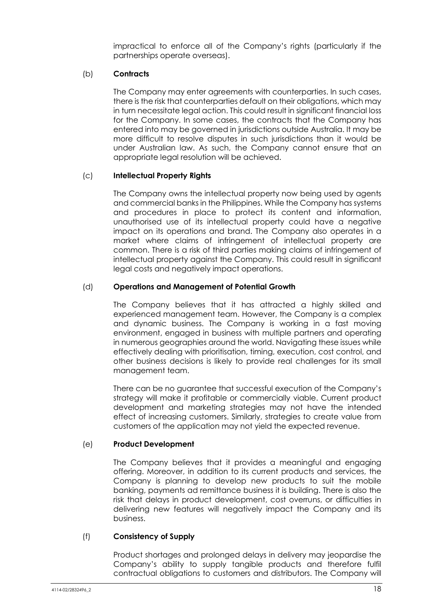impractical to enforce all of the Company's rights (particularly if the partnerships operate overseas).

#### (b) **Contracts**

The Company may enter agreements with counterparties. In such cases, there is the risk that counterparties default on their obligations, which may in turn necessitate legal action. This could result in significant financial loss for the Company. In some cases, the contracts that the Company has entered into may be governed in jurisdictions outside Australia. It may be more difficult to resolve disputes in such jurisdictions than it would be under Australian law. As such, the Company cannot ensure that an appropriate legal resolution will be achieved.

## (c) **Intellectual Property Rights**

The Company owns the intellectual property now being used by agents and commercial banks in the Philippines. While the Company has systems and procedures in place to protect its content and information, unauthorised use of its intellectual property could have a negative impact on its operations and brand. The Company also operates in a market where claims of infringement of intellectual property are common. There is a risk of third parties making claims of infringement of intellectual property against the Company. This could result in significant legal costs and negatively impact operations.

## (d) **Operations and Management of Potential Growth**

The Company believes that it has attracted a highly skilled and experienced management team. However, the Company is a complex and dynamic business. The Company is working in a fast moving environment, engaged in business with multiple partners and operating in numerous geographies around the world. Navigating these issues while effectively dealing with prioritisation, timing, execution, cost control, and other business decisions is likely to provide real challenges for its small management team.

There can be no guarantee that successful execution of the Company's strategy will make it profitable or commercially viable. Current product development and marketing strategies may not have the intended effect of increasing customers. Similarly, strategies to create value from customers of the application may not yield the expected revenue.

#### (e) **Product Development**

The Company believes that it provides a meaningful and engaging offering. Moreover, in addition to its current products and services, the Company is planning to develop new products to suit the mobile banking, payments ad remittance business it is building. There is also the risk that delays in product development, cost overruns, or difficulties in delivering new features will negatively impact the Company and its business.

#### (f) **Consistency of Supply**

Product shortages and prolonged delays in delivery may jeopardise the Company's ability to supply tangible products and therefore fulfil contractual obligations to customers and distributors. The Company will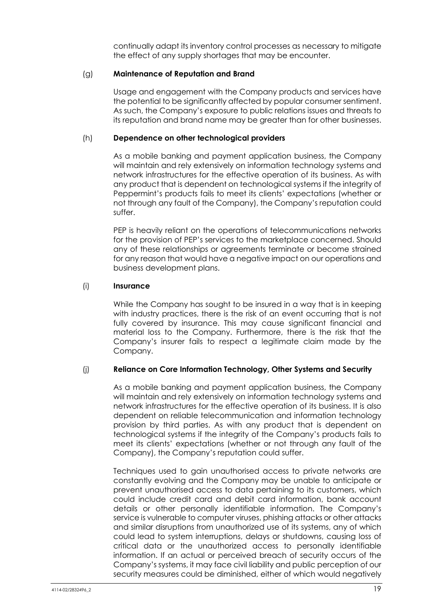continually adapt its inventory control processes as necessary to mitigate the effect of any supply shortages that may be encounter.

#### (g) **Maintenance of Reputation and Brand**

Usage and engagement with the Company products and services have the potential to be significantly affected by popular consumer sentiment. As such, the Company's exposure to public relations issues and threats to its reputation and brand name may be greater than for other businesses.

#### (h) **Dependence on other technological providers**

As a mobile banking and payment application business, the Company will maintain and rely extensively on information technology systems and network infrastructures for the effective operation of its business. As with any product that is dependent on technological systems if the integrity of Peppermint's products fails to meet its clients' expectations (whether or not through any fault of the Company), the Company's reputation could suffer.

PEP is heavily reliant on the operations of telecommunications networks for the provision of PEP's services to the marketplace concerned. Should any of these relationships or agreements terminate or become strained for any reason that would have a negative impact on our operations and business development plans.

## (i) **Insurance**

While the Company has sought to be insured in a way that is in keeping with industry practices, there is the risk of an event occurring that is not fully covered by insurance. This may cause significant financial and material loss to the Company. Furthermore, there is the risk that the Company's insurer fails to respect a legitimate claim made by the Company.

#### (j) **Reliance on Core Information Technology, Other Systems and Security**

As a mobile banking and payment application business, the Company will maintain and rely extensively on information technology systems and network infrastructures for the effective operation of its business. It is also dependent on reliable telecommunication and information technology provision by third parties. As with any product that is dependent on technological systems if the integrity of the Company's products fails to meet its clients' expectations (whether or not through any fault of the Company), the Company's reputation could suffer.

Techniques used to gain unauthorised access to private networks are constantly evolving and the Company may be unable to anticipate or prevent unauthorised access to data pertaining to its customers, which could include credit card and debit card information, bank account details or other personally identifiable information. The Company's service is vulnerable to computer viruses, phishing attacks or other attacks and similar disruptions from unauthorized use of its systems, any of which could lead to system interruptions, delays or shutdowns, causing loss of critical data or the unauthorized access to personally identifiable information. If an actual or perceived breach of security occurs of the Company's systems, it may face civil liability and public perception of our security measures could be diminished, either of which would negatively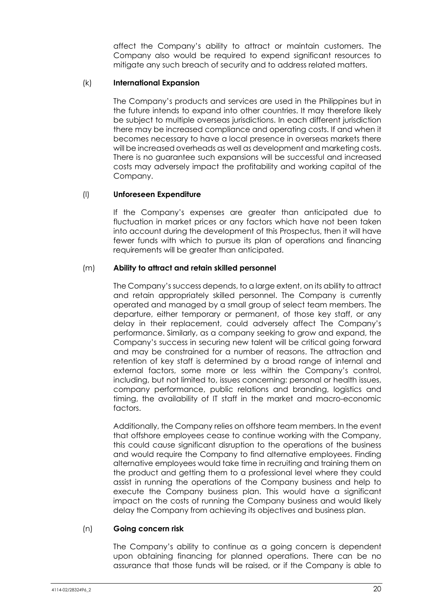affect the Company's ability to attract or maintain customers. The Company also would be required to expend significant resources to mitigate any such breach of security and to address related matters.

#### (k) **International Expansion**

The Company's products and services are used in the Philippines but in the future intends to expand into other countries. It may therefore likely be subject to multiple overseas jurisdictions. In each different jurisdiction there may be increased compliance and operating costs. If and when it becomes necessary to have a local presence in overseas markets there will be increased overheads as well as development and marketing costs. There is no guarantee such expansions will be successful and increased costs may adversely impact the profitability and working capital of the Company.

## (l) **Unforeseen Expenditure**

If the Company's expenses are greater than anticipated due to fluctuation in market prices or any factors which have not been taken into account during the development of this Prospectus, then it will have fewer funds with which to pursue its plan of operations and financing requirements will be greater than anticipated.

## (m) **Ability to attract and retain skilled personnel**

The Company's success depends, to a large extent, on its ability to attract and retain appropriately skilled personnel. The Company is currently operated and managed by a small group of select team members. The departure, either temporary or permanent, of those key staff, or any delay in their replacement, could adversely affect The Company's performance. Similarly, as a company seeking to grow and expand, the Company's success in securing new talent will be critical going forward and may be constrained for a number of reasons. The attraction and retention of key staff is determined by a broad range of internal and external factors, some more or less within the Company's control, including, but not limited to, issues concerning: personal or health issues, company performance, public relations and branding, logistics and timing, the availability of IT staff in the market and macro-economic factors.

Additionally, the Company relies on offshore team members. In the event that offshore employees cease to continue working with the Company, this could cause significant disruption to the operations of the business and would require the Company to find alternative employees. Finding alternative employees would take time in recruiting and training them on the product and getting them to a professional level where they could assist in running the operations of the Company business and help to execute the Company business plan. This would have a significant impact on the costs of running the Company business and would likely delay the Company from achieving its objectives and business plan.

#### (n) **Going concern risk**

The Company's ability to continue as a going concern is dependent upon obtaining financing for planned operations. There can be no assurance that those funds will be raised, or if the Company is able to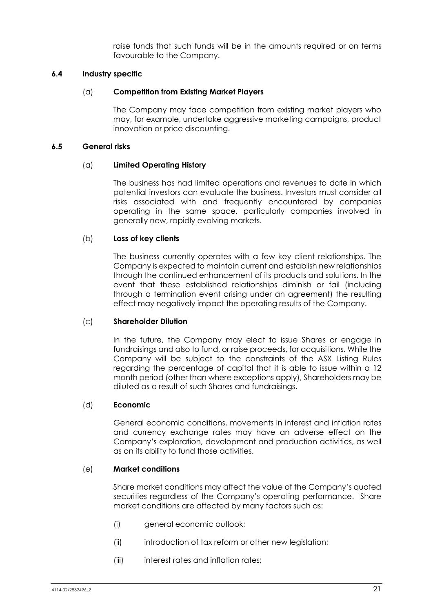raise funds that such funds will be in the amounts required or on terms favourable to the Company.

#### **6.4 Industry specific**

#### (a) **Competition from Existing Market Players**

The Company may face competition from existing market players who may, for example, undertake aggressive marketing campaigns, product innovation or price discounting.

#### **6.5 General risks**

#### (a) **Limited Operating History**

The business has had limited operations and revenues to date in which potential investors can evaluate the business. Investors must consider all risks associated with and frequently encountered by companies operating in the same space, particularly companies involved in generally new, rapidly evolving markets.

#### (b) **Loss of key clients**

The business currently operates with a few key client relationships. The Company is expected to maintain current and establish new relationships through the continued enhancement of its products and solutions. In the event that these established relationships diminish or fail (including through a termination event arising under an agreement) the resulting effect may negatively impact the operating results of the Company.

#### (c) **Shareholder Dilution**

In the future, the Company may elect to issue Shares or engage in fundraisings and also to fund, or raise proceeds, for acquisitions. While the Company will be subject to the constraints of the ASX Listing Rules regarding the percentage of capital that it is able to issue within a 12 month period (other than where exceptions apply), Shareholders may be diluted as a result of such Shares and fundraisings.

#### (d) **Economic**

General economic conditions, movements in interest and inflation rates and currency exchange rates may have an adverse effect on the Company's exploration, development and production activities, as well as on its ability to fund those activities.

#### (e) **Market conditions**

Share market conditions may affect the value of the Company's quoted securities regardless of the Company's operating performance. Share market conditions are affected by many factors such as:

- (i) general economic outlook;
- (ii) introduction of tax reform or other new leaislation;
- (iii) interest rates and inflation rates;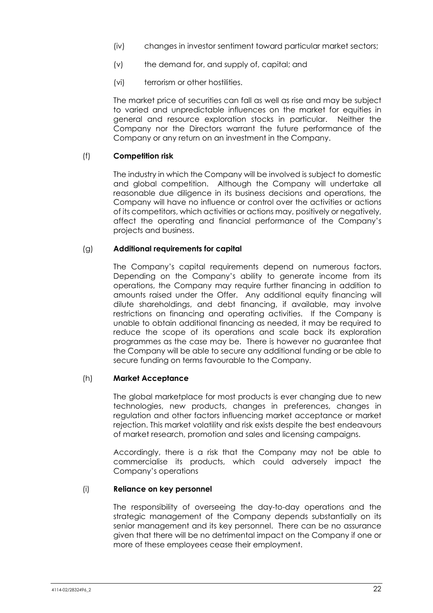- (iv) changes in investor sentiment toward particular market sectors;
- (v) the demand for, and supply of, capital; and
- (vi) terrorism or other hostilities.

The market price of securities can fall as well as rise and may be subject to varied and unpredictable influences on the market for equities in general and resource exploration stocks in particular. Neither the Company nor the Directors warrant the future performance of the Company or any return on an investment in the Company.

#### (f) **Competition risk**

The industry in which the Company will be involved is subject to domestic and global competition. Although the Company will undertake all reasonable due diligence in its business decisions and operations, the Company will have no influence or control over the activities or actions of its competitors, which activities or actions may, positively or negatively, affect the operating and financial performance of the Company's projects and business.

## (g) **Additional requirements for capital**

The Company's capital requirements depend on numerous factors. Depending on the Company's ability to generate income from its operations, the Company may require further financing in addition to amounts raised under the Offer. Any additional equity financing will dilute shareholdings, and debt financing, if available, may involve restrictions on financing and operating activities. If the Company is unable to obtain additional financing as needed, it may be required to reduce the scope of its operations and scale back its exploration programmes as the case may be. There is however no guarantee that the Company will be able to secure any additional funding or be able to secure funding on terms favourable to the Company.

#### (h) **Market Acceptance**

The global marketplace for most products is ever changing due to new technologies, new products, changes in preferences, changes in regulation and other factors influencing market acceptance or market rejection. This market volatility and risk exists despite the best endeavours of market research, promotion and sales and licensing campaigns.

Accordingly, there is a risk that the Company may not be able to commercialise its products, which could adversely impact the Company's operations

#### (i) **Reliance on key personnel**

The responsibility of overseeing the day-to-day operations and the strategic management of the Company depends substantially on its senior management and its key personnel. There can be no assurance given that there will be no detrimental impact on the Company if one or more of these employees cease their employment.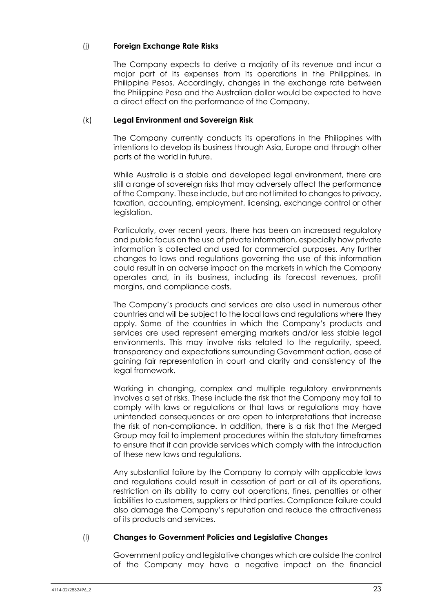## (j) **Foreign Exchange Rate Risks**

The Company expects to derive a majority of its revenue and incur a major part of its expenses from its operations in the Philippines, in Philippine Pesos. Accordingly, changes in the exchange rate between the Philippine Peso and the Australian dollar would be expected to have a direct effect on the performance of the Company.

#### (k) **Legal Environment and Sovereign Risk**

The Company currently conducts its operations in the Philippines with intentions to develop its business through Asia, Europe and through other parts of the world in future.

While Australia is a stable and developed legal environment, there are still a range of sovereign risks that may adversely affect the performance of the Company. These include, but are not limited to changes to privacy, taxation, accounting, employment, licensing, exchange control or other legislation.

Particularly, over recent years, there has been an increased regulatory and public focus on the use of private information, especially how private information is collected and used for commercial purposes. Any further changes to laws and regulations governing the use of this information could result in an adverse impact on the markets in which the Company operates and, in its business, including its forecast revenues, profit margins, and compliance costs.

The Company's products and services are also used in numerous other countries and will be subject to the local laws and regulations where they apply. Some of the countries in which the Company's products and services are used represent emerging markets and/or less stable legal environments. This may involve risks related to the regularity, speed, transparency and expectations surrounding Government action, ease of gaining fair representation in court and clarity and consistency of the legal framework.

Working in changing, complex and multiple regulatory environments involves a set of risks. These include the risk that the Company may fail to comply with laws or regulations or that laws or regulations may have unintended consequences or are open to interpretations that increase the risk of non-compliance. In addition, there is a risk that the Merged Group may fail to implement procedures within the statutory timeframes to ensure that it can provide services which comply with the introduction of these new laws and regulations.

Any substantial failure by the Company to comply with applicable laws and regulations could result in cessation of part or all of its operations, restriction on its ability to carry out operations, fines, penalties or other liabilities to customers, suppliers or third parties. Compliance failure could also damage the Company's reputation and reduce the attractiveness of its products and services.

#### (l) **Changes to Government Policies and Legislative Changes**

Government policy and legislative changes which are outside the control of the Company may have a negative impact on the financial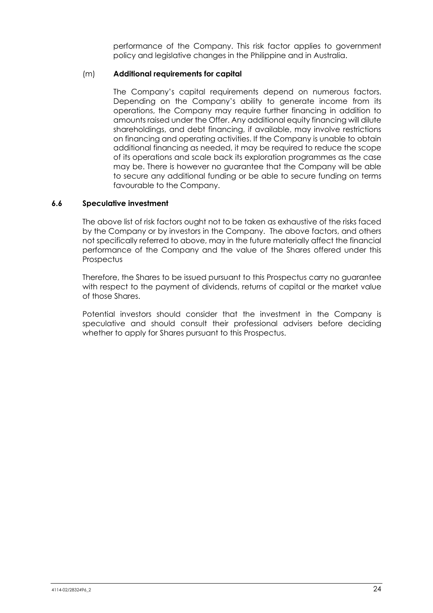performance of the Company. This risk factor applies to government policy and legislative changes in the Philippine and in Australia.

### (m) **Additional requirements for capital**

The Company's capital requirements depend on numerous factors. Depending on the Company's ability to generate income from its operations, the Company may require further financing in addition to amounts raised under the Offer. Any additional equity financing will dilute shareholdings, and debt financing, if available, may involve restrictions on financing and operating activities. If the Company is unable to obtain additional financing as needed, it may be required to reduce the scope of its operations and scale back its exploration programmes as the case may be. There is however no guarantee that the Company will be able to secure any additional funding or be able to secure funding on terms favourable to the Company.

#### **6.6 Speculative investment**

The above list of risk factors ought not to be taken as exhaustive of the risks faced by the Company or by investors in the Company. The above factors, and others not specifically referred to above, may in the future materially affect the financial performance of the Company and the value of the Shares offered under this **Prospectus** 

Therefore, the Shares to be issued pursuant to this Prospectus carry no guarantee with respect to the payment of dividends, returns of capital or the market value of those Shares.

Potential investors should consider that the investment in the Company is speculative and should consult their professional advisers before deciding whether to apply for Shares pursuant to this Prospectus.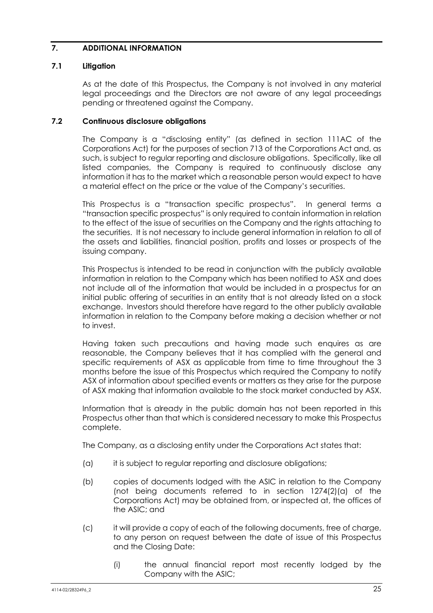## <span id="page-26-0"></span>**7. ADDITIONAL INFORMATION**

#### **7.1 Litigation**

As at the date of this Prospectus, the Company is not involved in any material legal proceedings and the Directors are not aware of any legal proceedings pending or threatened against the Company.

#### **7.2 Continuous disclosure obligations**

The Company is a "disclosing entity" (as defined in section 111AC of the Corporations Act) for the purposes of section 713 of the Corporations Act and, as such, is subject to regular reporting and disclosure obligations. Specifically, like all listed companies, the Company is required to continuously disclose any information it has to the market which a reasonable person would expect to have a material effect on the price or the value of the Company's securities.

This Prospectus is a "transaction specific prospectus". In general terms a "transaction specific prospectus" is only required to contain information in relation to the effect of the issue of securities on the Company and the rights attaching to the securities. It is not necessary to include general information in relation to all of the assets and liabilities, financial position, profits and losses or prospects of the issuing company.

This Prospectus is intended to be read in conjunction with the publicly available information in relation to the Company which has been notified to ASX and does not include all of the information that would be included in a prospectus for an initial public offering of securities in an entity that is not already listed on a stock exchange. Investors should therefore have regard to the other publicly available information in relation to the Company before making a decision whether or not to invest.

Having taken such precautions and having made such enquires as are reasonable, the Company believes that it has complied with the general and specific requirements of ASX as applicable from time to time throughout the 3 months before the issue of this Prospectus which required the Company to notify ASX of information about specified events or matters as they arise for the purpose of ASX making that information available to the stock market conducted by ASX.

Information that is already in the public domain has not been reported in this Prospectus other than that which is considered necessary to make this Prospectus complete.

The Company, as a disclosing entity under the Corporations Act states that:

- (a) it is subject to regular reporting and disclosure obligations;
- (b) copies of documents lodged with the ASIC in relation to the Company (not being documents referred to in section 1274(2)(a) of the Corporations Act) may be obtained from, or inspected at, the offices of the ASIC; and
- (c) it will provide a copy of each of the following documents, free of charge, to any person on request between the date of issue of this Prospectus and the Closing Date:
	- (i) the annual financial report most recently lodged by the Company with the ASIC;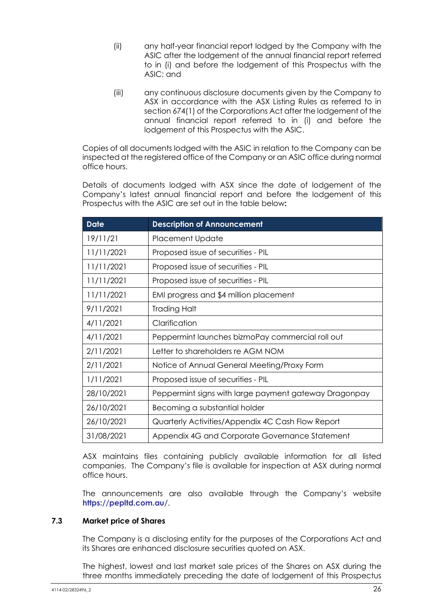- (ii) any half-year financial report lodged by the Company with the ASIC after the lodgement of the annual financial report referred to in (i) and before the lodgement of this Prospectus with the ASIC; and
- (iii) any continuous disclosure documents given by the Company to ASX in accordance with the ASX Listing Rules as referred to in section 674(1) of the Corporations Act after the lodgement of the annual financial report referred to in (i) and before the lodgement of this Prospectus with the ASIC.

Copies of all documents lodged with the ASIC in relation to the Company can be inspected at the registered office of the Company or an ASIC office during normal office hours.

Details of documents lodged with ASX since the date of lodgement of the Company's latest annual financial report and before the lodgement of this Prospectus with the ASIC are set out in the table below**:** 

| <b>Date</b> | <b>Description of Announcement</b>                    |
|-------------|-------------------------------------------------------|
| 19/11/21    | <b>Placement Update</b>                               |
| 11/11/2021  | Proposed issue of securities - PIL                    |
| 11/11/2021  | Proposed issue of securities - PIL                    |
| 11/11/2021  | Proposed issue of securities - PIL                    |
| 11/11/2021  | EMI progress and \$4 million placement                |
| 9/11/2021   | Trading Halt                                          |
| 4/11/2021   | Clarification                                         |
| 4/11/2021   | Peppermint launches bizmoPay commercial roll out      |
| 2/11/2021   | Letter to shareholders re AGM NOM                     |
| 2/11/2021   | Notice of Annual General Meeting/Proxy Form           |
| 1/11/2021   | Proposed issue of securities - PIL                    |
| 28/10/2021  | Peppermint signs with large payment gateway Dragonpay |
| 26/10/2021  | Becoming a substantial holder                         |
| 26/10/2021  | Quarterly Activities/Appendix 4C Cash Flow Report     |
| 31/08/2021  | Appendix 4G and Corporate Governance Statement        |

ASX maintains files containing publicly available information for all listed companies. The Company's file is available for inspection at ASX during normal office hours.

The announcements are also available through the Company's website **<https://pepltd.com.au/>**.

#### **7.3 Market price of Shares**

The Company is a disclosing entity for the purposes of the Corporations Act and its Shares are enhanced disclosure securities quoted on ASX.

The highest, lowest and last market sale prices of the Shares on ASX during the three months immediately preceding the date of lodgement of this Prospectus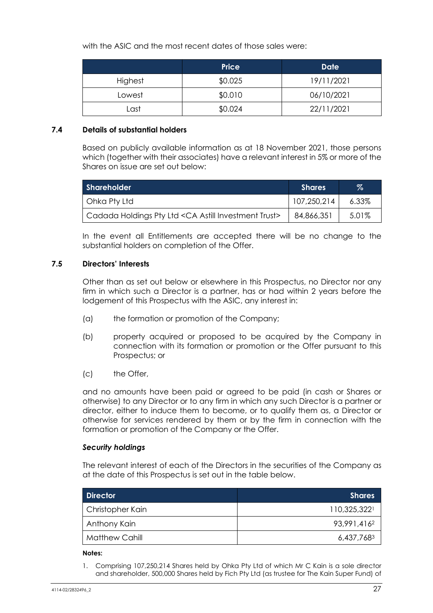with the ASIC and the most recent dates of those sales were:

|         | <b>Price</b> | Date       |
|---------|--------------|------------|
| Highest | \$0.025      | 19/11/2021 |
| Lowest  | \$0.010      | 06/10/2021 |
| Last    | \$0.024      | 22/11/2021 |

#### **7.4 Details of substantial holders**

Based on publicly available information as at 18 November 2021, those persons which (together with their associates) have a relevant interest in 5% or more of the Shares on issue are set out below:

| <b>Shareholder</b>                                    | <b>Shares</b> | $\%$     |  |  |  |
|-------------------------------------------------------|---------------|----------|--|--|--|
| Ohka Pty Ltd                                          | 107,250,214   | $6.33\%$ |  |  |  |
| Cadada Holdings Pty Ltd < CA Astill Investment Trust> | 84,866,351    | 5.01%    |  |  |  |

In the event all Entitlements are accepted there will be no change to the substantial holders on completion of the Offer.

#### **7.5 Directors' Interests**

Other than as set out below or elsewhere in this Prospectus, no Director nor any firm in which such a Director is a partner, has or had within 2 years before the lodgement of this Prospectus with the ASIC, any interest in:

- (a) the formation or promotion of the Company;
- (b) property acquired or proposed to be acquired by the Company in connection with its formation or promotion or the Offer pursuant to this Prospectus; or
- (c) the Offer,

and no amounts have been paid or agreed to be paid (in cash or Shares or otherwise) to any Director or to any firm in which any such Director is a partner or director, either to induce them to become, or to qualify them as, a Director or otherwise for services rendered by them or by the firm in connection with the formation or promotion of the Company or the Offer.

#### *Security holdings*

The relevant interest of each of the Directors in the securities of the Company as at the date of this Prospectus is set out in the table below.

| <b>Director</b>       | <b>Shares</b> |
|-----------------------|---------------|
| Christopher Kain      | 110,325,3221  |
| Anthony Kain          | 93,991,4162   |
| <b>Matthew Cahill</b> | 6,437,7683    |

#### **Notes:**

1. Comprising 107,250,214 Shares held by Ohka Pty Ltd of which Mr C Kain is a sole director and shareholder, 500,000 Shares held by Fich Pty Ltd (as trustee for The Kain Super Fund) of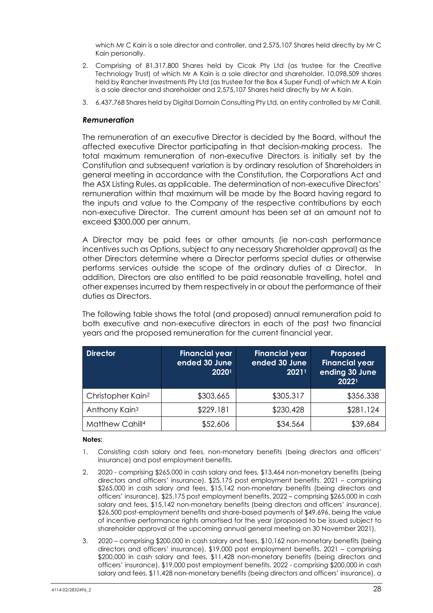which Mr C Kain is a sole director and controller, and 2,575,107 Shares held directly by Mr C Kain personally.

- 2. Comprising of 81,317,800 Shares held by Cicak Pty Ltd (as trustee for the Creative Technology Trust) of which Mr A Kain is a sole director and shareholder, 10,098,509 shares held by Rancher Investments Pty Ltd (as trustee for the Box 4 Super Fund) of which Mr A Kain is a sole director and shareholder and 2,575,107 Shares held directly by Mr A Kain.
- 3. 6,437,768 Shares held by Digital Domain Consulting Pty Ltd, an entity controlled by Mr Cahill.

#### *Remuneration*

The remuneration of an executive Director is decided by the Board, without the affected executive Director participating in that decision-making process. The total maximum remuneration of non-executive Directors is initially set by the Constitution and subsequent variation is by ordinary resolution of Shareholders in general meeting in accordance with the Constitution, the Corporations Act and the ASX Listing Rules, as applicable. The determination of non-executive Directors' remuneration within that maximum will be made by the Board having regard to the inputs and value to the Company of the respective contributions by each non-executive Director. The current amount has been set at an amount not to exceed \$300,000 per annum.

A Director may be paid fees or other amounts (ie non-cash performance incentives such as Options, subject to any necessary Shareholder approval) as the other Directors determine where a Director performs special duties or otherwise performs services outside the scope of the ordinary duties of a Director. In addition, Directors are also entitled to be paid reasonable travelling, hotel and other expenses incurred by them respectively in or about the performance of their duties as Directors.

The following table shows the total (and proposed) annual remuneration paid to both executive and non-executive directors in each of the past two financial years and the proposed remuneration for the current financial year.

| <b>Director</b>               | <b>Financial year</b><br>ended 30 June<br>20201 | <b>Financial year</b><br>ended 30 June<br>20211 | Proposed<br><b>Financial year</b><br>ending 30 June<br>20221 |
|-------------------------------|-------------------------------------------------|-------------------------------------------------|--------------------------------------------------------------|
| Christopher Kain <sup>2</sup> | \$303,665                                       | \$305,317                                       | \$356,338                                                    |
| Anthony Kain <sup>3</sup>     | \$229,181                                       | \$230,428                                       | \$281,124                                                    |
| Matthew Cahill <sup>4</sup>   | \$52,606                                        | \$34,564                                        | \$39,684                                                     |

#### **Notes:**

- 1. Consisting cash salary and fees, non-monetary benefits (being directors and officers' insurance) and post employment benefits.
- 2. 2020 comprising \$265,000 in cash salary and fees, \$13,464 non-monetary benefits (being directors and officers' insurance), \$25,175 post employment benefits. 2021 – comprising \$265,000 in cash salary and fees, \$15,142 non-monetary benefits (being directors and officers' insurance), \$25,175 post employment benefits. 2022 – comprising \$265,000 in cash salary and fees, \$15,142 non-monetary benefits (being directors and officers' insurance), \$26,500 post-employment benefits and share-based payments of \$49,696, being the value of incentive performance rights amortised for the year (proposed to be issued subject to shareholder approval at the upcoming annual general meeting on 30 November 2021).
- 3. 2020 comprising \$200,000 in cash salary and fees, \$10,162 non-monetary benefits (being directors and officers' insurance), \$19,000 post employment benefits. 2021 – comprising \$200,000 in cash salary and fees, \$11,428 non-monetary benefits (being directors and officers' insurance), \$19,000 post employment benefits. 2022 - comprising \$200,000 in cash salary and fees, \$11,428 non-monetary benefits (being directors and officers' insurance), a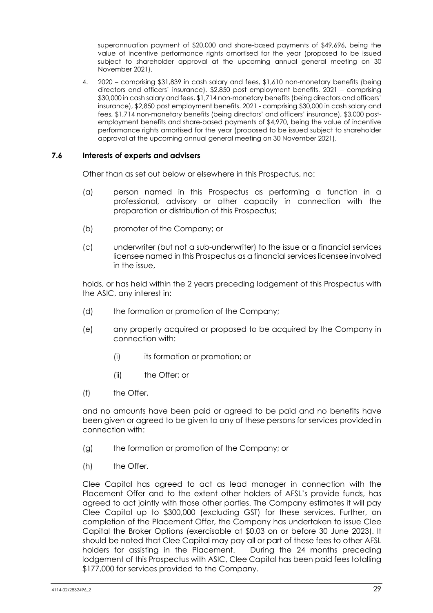superannuation payment of \$20,000 and share-based payments of \$49,696, being the value of incentive performance rights amortised for the year (proposed to be issued subject to shareholder approval at the upcoming annual general meeting on 30 November 2021).

4. 2020 – comprising \$31,839 in cash salary and fees, \$1,610 non-monetary benefits (being directors and officers' insurance), \$2,850 post employment benefits. 2021 – comprising \$30,000 in cash salary and fees, \$1,714 non-monetary benefits (being directors and officers' insurance), \$2,850 post employment benefits. 2021 - comprising \$30,000 in cash salary and fees, \$1,714 non-monetary benefits (being directors' and officers' insurance), \$3,000 postemployment benefits and share-based payments of \$4,970, being the value of incentive performance rights amortised for the year (proposed to be issued subject to shareholder approval at the upcoming annual general meeting on 30 November 2021).

#### **7.6 Interests of experts and advisers**

Other than as set out below or elsewhere in this Prospectus, no:

- (a) person named in this Prospectus as performing a function in a professional, advisory or other capacity in connection with the preparation or distribution of this Prospectus;
- (b) promoter of the Company; or
- (c) underwriter (but not a sub-underwriter) to the issue or a financial services licensee named in this Prospectus as a financial services licensee involved in the issue,

holds, or has held within the 2 years preceding lodgement of this Prospectus with the ASIC, any interest in:

- (d) the formation or promotion of the Company;
- (e) any property acquired or proposed to be acquired by the Company in connection with:
	- (i) its formation or promotion; or
	- (ii) the Offer; or
- (f) the Offer,

and no amounts have been paid or agreed to be paid and no benefits have been given or agreed to be given to any of these persons for services provided in connection with:

- (g) the formation or promotion of the Company; or
- (h) the Offer.

Clee Capital has agreed to act as lead manager in connection with the Placement Offer and to the extent other holders of AFSL's provide funds, has agreed to act jointly with those other parties. The Company estimates it will pay Clee Capital up to \$300,000 (excluding GST) for these services. Further, on completion of the Placement Offer, the Company has undertaken to issue Clee Capital the Broker Options (exercisable at \$0.03 on or before 30 June 2023). It should be noted that Clee Capital may pay all or part of these fees to other AFSL holders for assisting in the Placement. During the 24 months preceding lodgement of this Prospectus with ASIC, Clee Capital has been paid fees totalling \$177,000 for services provided to the Company.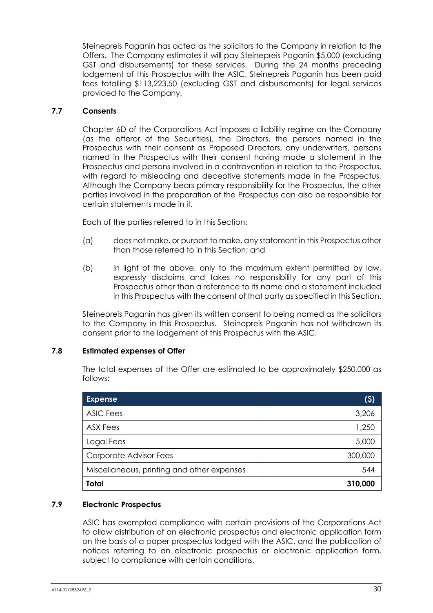Steinepreis Paganin has acted as the solicitors to the Company in relation to the Offers. The Company estimates it will pay Steinepreis Paganin \$5,000 (excluding GST and disbursements) for these services. During the 24 months preceding lodgement of this Prospectus with the ASIC, Steinepreis Paganin has been paid fees totalling \$113,223.50 (excluding GST and disbursements) for leaal services provided to the Company.

#### **7.7 Consents**

Chapter 6D of the Corporations Act imposes a liability regime on the Company (as the offeror of the Securities), the Directors, the persons named in the Prospectus with their consent as Proposed Directors, any underwriters, persons named in the Prospectus with their consent having made a statement in the Prospectus and persons involved in a contravention in relation to the Prospectus, with regard to misleading and deceptive statements made in the Prospectus, Although the Company bears primary responsibility for the Prospectus, the other parties involved in the preparation of the Prospectus can also be responsible for certain statements made in it.

Each of the parties referred to in this Section:

- (a) does not make, or purport to make, any statement in this Prospectus other than those referred to in this Section; and
- (b) in light of the above, only to the maximum extent permitted by law, expressly disclaims and takes no responsibility for any part of this Prospectus other than a reference to its name and a statement included in this Prospectus with the consent of that party as specified in this Section.

Steinepreis Paganin has given its written consent to being named as the solicitors to the Company in this Prospectus. Steinepreis Paganin has not withdrawn its consent prior to the lodgement of this Prospectus with the ASIC.

#### **7.8 Estimated expenses of Offer**

The total expenses of the Offer are estimated to be approximately \$250,000 as follows:

| <b>Expense</b>                             | $( \mathsf{S} )$ |
|--------------------------------------------|------------------|
| <b>ASIC Fees</b>                           | 3,206            |
| <b>ASX Fees</b>                            | 1,250            |
| Legal Fees                                 | 5,000            |
| Corporate Advisor Fees                     | 300,000          |
| Miscellaneous, printing and other expenses | 544              |
| <b>Total</b>                               | 310,000          |

## **7.9 Electronic Prospectus**

ASIC has exempted compliance with certain provisions of the Corporations Act to allow distribution of an electronic prospectus and electronic application form on the basis of a paper prospectus lodged with the ASIC, and the publication of notices referring to an electronic prospectus or electronic application form, subject to compliance with certain conditions.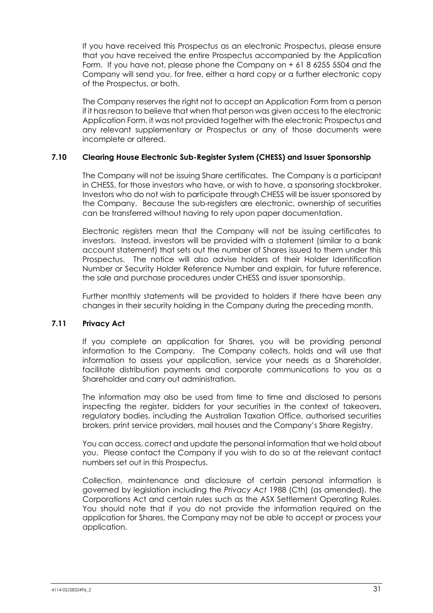If you have received this Prospectus as an electronic Prospectus, please ensure that you have received the entire Prospectus accompanied by the Application Form. If you have not, please phone the Company on + 61 8 6255 5504 and the Company will send you, for free, either a hard copy or a further electronic copy of the Prospectus, or both.

The Company reserves the right not to accept an Application Form from a person if it has reason to believe that when that person was given access to the electronic Application Form, it was not provided together with the electronic Prospectus and any relevant supplementary or Prospectus or any of those documents were incomplete or altered.

#### **7.10 Clearing House Electronic Sub-Register System (CHESS) and Issuer Sponsorship**

The Company will not be issuing Share certificates. The Company is a participant in CHESS, for those investors who have, or wish to have, a sponsoring stockbroker. Investors who do not wish to participate through CHESS will be issuer sponsored by the Company. Because the sub-registers are electronic, ownership of securities can be transferred without having to rely upon paper documentation.

Electronic registers mean that the Company will not be issuing certificates to investors. Instead, investors will be provided with a statement (similar to a bank account statement) that sets out the number of Shares issued to them under this Prospectus. The notice will also advise holders of their Holder Identification Number or Security Holder Reference Number and explain, for future reference, the sale and purchase procedures under CHESS and issuer sponsorship.

Further monthly statements will be provided to holders if there have been any changes in their security holding in the Company during the preceding month.

#### **7.11 Privacy Act**

If you complete an application for Shares, you will be providing personal information to the Company. The Company collects, holds and will use that information to assess your application, service your needs as a Shareholder, facilitate distribution payments and corporate communications to you as a Shareholder and carry out administration.

The information may also be used from time to time and disclosed to persons inspecting the register, bidders for your securities in the context of takeovers, regulatory bodies, including the Australian Taxation Office, authorised securities brokers, print service providers, mail houses and the Company's Share Registry.

You can access, correct and update the personal information that we hold about you. Please contact the Company if you wish to do so at the relevant contact numbers set out in this Prospectus.

Collection, maintenance and disclosure of certain personal information is governed by legislation including the *Privacy Act* 1988 (Cth) (as amended), the Corporations Act and certain rules such as the ASX Settlement Operating Rules. You should note that if you do not provide the information required on the application for Shares, the Company may not be able to accept or process your application.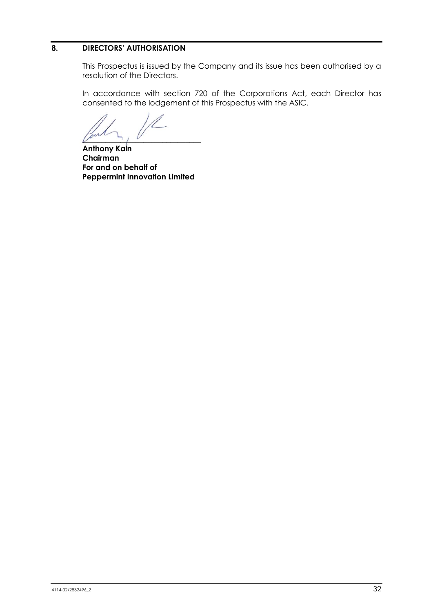#### <span id="page-33-0"></span>**8. DIRECTORS' AUTHORISATION**

This Prospectus is issued by the Company and its issue has been authorised by a resolution of the Directors.

In accordance with section 720 of the Corporations Act, each Director has consented to the lodgement of this Prospectus with the ASIC.

 $\mathcal{U}$   $\rightarrow$   $\mathcal{V}$ 

**Anthony Kain Chairman For and on behalf of Peppermint Innovation Limited**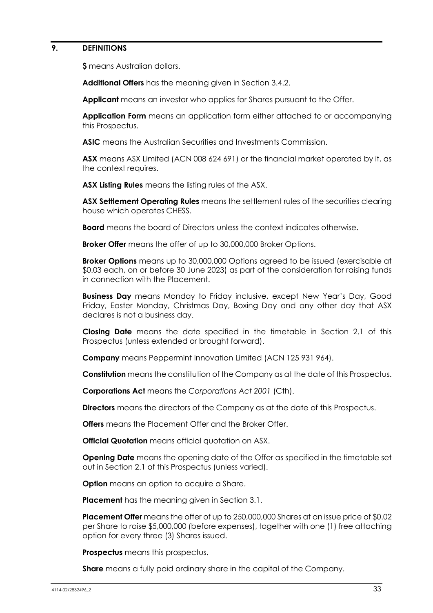#### <span id="page-34-0"></span>**9. DEFINITIONS**

**\$** means Australian dollars.

**Additional Offers** has the meaning given in Section [3.4.2.](#page-7-0)

**Applicant** means an investor who applies for Shares pursuant to the Offer.

**Application Form** means an application form either attached to or accompanying this Prospectus.

**ASIC** means the Australian Securities and Investments Commission.

**ASX** means ASX Limited (ACN 008 624 691) or the financial market operated by it, as the context requires.

**ASX Listing Rules** means the listing rules of the ASX.

**ASX Settlement Operating Rules** means the settlement rules of the securities clearing house which operates CHESS.

**Board** means the board of Directors unless the context indicates otherwise.

**Broker Offer** means the offer of up to 30,000,000 Broker Options.

**Broker Options** means up to 30,000,000 Options agreed to be issued (exercisable at \$0.03 each, on or before 30 June 2023) as part of the consideration for raising funds in connection with the Placement.

**Business Day** means Monday to Friday inclusive, except New Year's Day, Good Friday, Easter Monday, Christmas Day, Boxing Day and any other day that ASX declares is not a business day.

**Closing Date** means the date specified in the timetable in Section [2.1](#page-3-1) of this Prospectus (unless extended or brought forward).

**Company** means Peppermint Innovation Limited (ACN 125 931 964).

**Constitution** means the constitution of the Company as at the date of this Prospectus.

**Corporations Act** means the *Corporations Act 2001* (Cth).

**Directors** means the directors of the Company as at the date of this Prospectus.

**Offers** means the Placement Offer and the Broker Offer.

**Official Quotation** means official quotation on ASX.

**Opening Date** means the opening date of the Offer as specified in the timetable set out in Section [2.1](#page-3-1) of this Prospectus (unless varied).

**Option** means an option to acquire a Share.

**Placement** has the meaning given in Section [3.1.](#page-6-1)

**Placement Offer** means the offer of up to 250,000,000 Shares at an issue price of \$0.02 per Share to raise \$5,000,000 (before expenses), together with one (1) free attaching option for every three (3) Shares issued.

**Prospectus** means this prospectus.

**Share** means a fully paid ordinary share in the capital of the Company.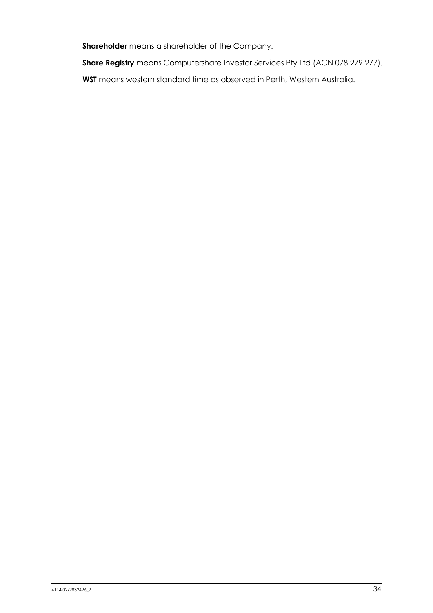**Shareholder** means a shareholder of the Company.

**Share Registry** means Computershare Investor Services Pty Ltd (ACN 078 279 277).

**WST** means western standard time as observed in Perth, Western Australia.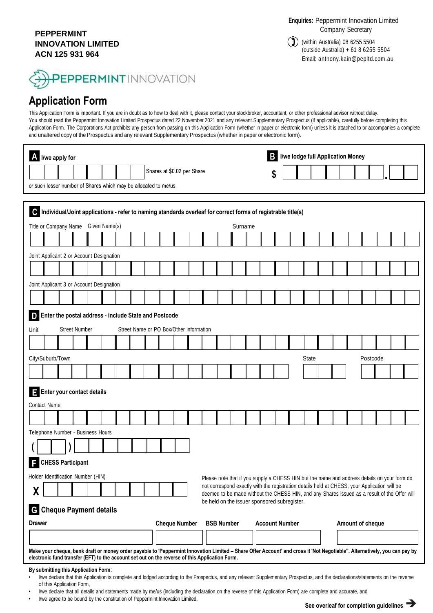#### **PEPPERMINT INNOVATION LIMITED ACN 125 931 964**

**Enquiries:** Peppermint Innovation Limited Company Secretary

 $\sum$ ) (within Australia) 08 6255 5504 (outside Australia) + 61 8 6255 5504 Email: anthony.kain@pepltd.com.au

# **PEPPERMINT** INNOVATION

# **Application Form**

This Application Form is important. If you are in doubt as to how to deal with it, please contact your stockbroker, accountant, or other professional advisor without delay. You should read the Peppermint Innovation Limited Prospectus dated 22 November 2021 and any relevant Supplementary Prospectus (if applicable), carefully before completing this Application Form. The Corporations Act prohibits any person from passing on this Application Form (whether in paper or electronic form) unless it is attached to or accompanies a complete and unaltered copy of the Prospectus and any relevant Supplementary Prospectus (whether in paper or electronic form).

|                                                                                                                              |  | A I/we apply for                                                                                                                                                                                                                                                            |               |  |  |                                         |  |                            |  |  |                   |         |                                                                                                                                                                                             | <b>B</b> I/we lodge full Application Money |              |  |                  |          |  |  |
|------------------------------------------------------------------------------------------------------------------------------|--|-----------------------------------------------------------------------------------------------------------------------------------------------------------------------------------------------------------------------------------------------------------------------------|---------------|--|--|-----------------------------------------|--|----------------------------|--|--|-------------------|---------|---------------------------------------------------------------------------------------------------------------------------------------------------------------------------------------------|--------------------------------------------|--------------|--|------------------|----------|--|--|
|                                                                                                                              |  |                                                                                                                                                                                                                                                                             |               |  |  |                                         |  | Shares at \$0.02 per Share |  |  |                   |         |                                                                                                                                                                                             | \$                                         |              |  |                  |          |  |  |
|                                                                                                                              |  | or such lesser number of Shares which may be allocated to me/us.                                                                                                                                                                                                            |               |  |  |                                         |  |                            |  |  |                   |         |                                                                                                                                                                                             |                                            |              |  |                  |          |  |  |
|                                                                                                                              |  |                                                                                                                                                                                                                                                                             |               |  |  |                                         |  |                            |  |  |                   |         |                                                                                                                                                                                             |                                            |              |  |                  |          |  |  |
| $\mathbf{C}$<br>Individual/Joint applications - refer to naming standards overleaf for correct forms of registrable title(s) |  |                                                                                                                                                                                                                                                                             |               |  |  |                                         |  |                            |  |  |                   |         |                                                                                                                                                                                             |                                            |              |  |                  |          |  |  |
|                                                                                                                              |  | Title or Company Name                                                                                                                                                                                                                                                       | Given Name(s) |  |  |                                         |  |                            |  |  |                   | Surname |                                                                                                                                                                                             |                                            |              |  |                  |          |  |  |
|                                                                                                                              |  |                                                                                                                                                                                                                                                                             |               |  |  |                                         |  |                            |  |  |                   |         |                                                                                                                                                                                             |                                            |              |  |                  |          |  |  |
|                                                                                                                              |  | Joint Applicant 2 or Account Designation                                                                                                                                                                                                                                    |               |  |  |                                         |  |                            |  |  |                   |         |                                                                                                                                                                                             |                                            |              |  |                  |          |  |  |
|                                                                                                                              |  |                                                                                                                                                                                                                                                                             |               |  |  |                                         |  |                            |  |  |                   |         |                                                                                                                                                                                             |                                            |              |  |                  |          |  |  |
|                                                                                                                              |  | Joint Applicant 3 or Account Designation                                                                                                                                                                                                                                    |               |  |  |                                         |  |                            |  |  |                   |         |                                                                                                                                                                                             |                                            |              |  |                  |          |  |  |
|                                                                                                                              |  |                                                                                                                                                                                                                                                                             |               |  |  |                                         |  |                            |  |  |                   |         |                                                                                                                                                                                             |                                            |              |  |                  |          |  |  |
| D                                                                                                                            |  | Enter the postal address - include State and Postcode                                                                                                                                                                                                                       |               |  |  |                                         |  |                            |  |  |                   |         |                                                                                                                                                                                             |                                            |              |  |                  |          |  |  |
| Unit                                                                                                                         |  | <b>Street Number</b>                                                                                                                                                                                                                                                        |               |  |  | Street Name or PO Box/Other information |  |                            |  |  |                   |         |                                                                                                                                                                                             |                                            |              |  |                  |          |  |  |
|                                                                                                                              |  |                                                                                                                                                                                                                                                                             |               |  |  |                                         |  |                            |  |  |                   |         |                                                                                                                                                                                             |                                            |              |  |                  |          |  |  |
| City/Suburb/Town                                                                                                             |  |                                                                                                                                                                                                                                                                             |               |  |  |                                         |  |                            |  |  |                   |         |                                                                                                                                                                                             |                                            | <b>State</b> |  |                  | Postcode |  |  |
|                                                                                                                              |  |                                                                                                                                                                                                                                                                             |               |  |  |                                         |  |                            |  |  |                   |         |                                                                                                                                                                                             |                                            |              |  |                  |          |  |  |
| E                                                                                                                            |  | Enter your contact details                                                                                                                                                                                                                                                  |               |  |  |                                         |  |                            |  |  |                   |         |                                                                                                                                                                                             |                                            |              |  |                  |          |  |  |
| <b>Contact Name</b>                                                                                                          |  |                                                                                                                                                                                                                                                                             |               |  |  |                                         |  |                            |  |  |                   |         |                                                                                                                                                                                             |                                            |              |  |                  |          |  |  |
|                                                                                                                              |  |                                                                                                                                                                                                                                                                             |               |  |  |                                         |  |                            |  |  |                   |         |                                                                                                                                                                                             |                                            |              |  |                  |          |  |  |
|                                                                                                                              |  | Telephone Number - Business Hours                                                                                                                                                                                                                                           |               |  |  |                                         |  |                            |  |  |                   |         |                                                                                                                                                                                             |                                            |              |  |                  |          |  |  |
|                                                                                                                              |  |                                                                                                                                                                                                                                                                             |               |  |  |                                         |  |                            |  |  |                   |         |                                                                                                                                                                                             |                                            |              |  |                  |          |  |  |
|                                                                                                                              |  |                                                                                                                                                                                                                                                                             |               |  |  |                                         |  |                            |  |  |                   |         |                                                                                                                                                                                             |                                            |              |  |                  |          |  |  |
| <b>CHESS Participant</b>                                                                                                     |  |                                                                                                                                                                                                                                                                             |               |  |  |                                         |  |                            |  |  |                   |         |                                                                                                                                                                                             |                                            |              |  |                  |          |  |  |
|                                                                                                                              |  | Holder Identification Number (HIN)                                                                                                                                                                                                                                          |               |  |  |                                         |  |                            |  |  |                   |         | Please note that if you supply a CHESS HIN but the name and address details on your form do<br>not correspond exactly with the registration details held at CHESS, your Application will be |                                            |              |  |                  |          |  |  |
| χ                                                                                                                            |  |                                                                                                                                                                                                                                                                             |               |  |  |                                         |  |                            |  |  |                   |         | deemed to be made without the CHESS HIN, and any Shares issued as a result of the Offer will                                                                                                |                                            |              |  |                  |          |  |  |
| be held on the issuer sponsored subregister.<br><b>G</b> Cheque Payment details                                              |  |                                                                                                                                                                                                                                                                             |               |  |  |                                         |  |                            |  |  |                   |         |                                                                                                                                                                                             |                                            |              |  |                  |          |  |  |
| <b>Drawer</b>                                                                                                                |  |                                                                                                                                                                                                                                                                             |               |  |  |                                         |  | <b>Cheque Number</b>       |  |  | <b>BSB Number</b> |         | <b>Account Number</b>                                                                                                                                                                       |                                            |              |  | Amount of cheque |          |  |  |
|                                                                                                                              |  |                                                                                                                                                                                                                                                                             |               |  |  |                                         |  |                            |  |  |                   |         |                                                                                                                                                                                             |                                            |              |  |                  |          |  |  |
|                                                                                                                              |  | Make your cheque, bank draft or money order payable to 'Peppermint Innovation Limited - Share Offer Account' and cross it 'Not Negotiable". Alternatively, you can pay by<br>electronic fund transfer (EFT) to the account set out on the reverse of this Application Form. |               |  |  |                                         |  |                            |  |  |                   |         |                                                                                                                                                                                             |                                            |              |  |                  |          |  |  |
|                                                                                                                              |  | By submitting this Application Form:                                                                                                                                                                                                                                        |               |  |  |                                         |  |                            |  |  |                   |         |                                                                                                                                                                                             |                                            |              |  |                  |          |  |  |

- I/we declare that this Application is complete and lodged according to the Prospectus, and any relevant Supplementary Prospectus, and the declarations/statements on the reverse of this Application Form,
- I/we declare that all details and statements made by me/us (including the declaration on the reverse of this Application Form) are complete and accurate, and
- I/we agree to be bound by the constitution of Peppermint Innovation Limited.